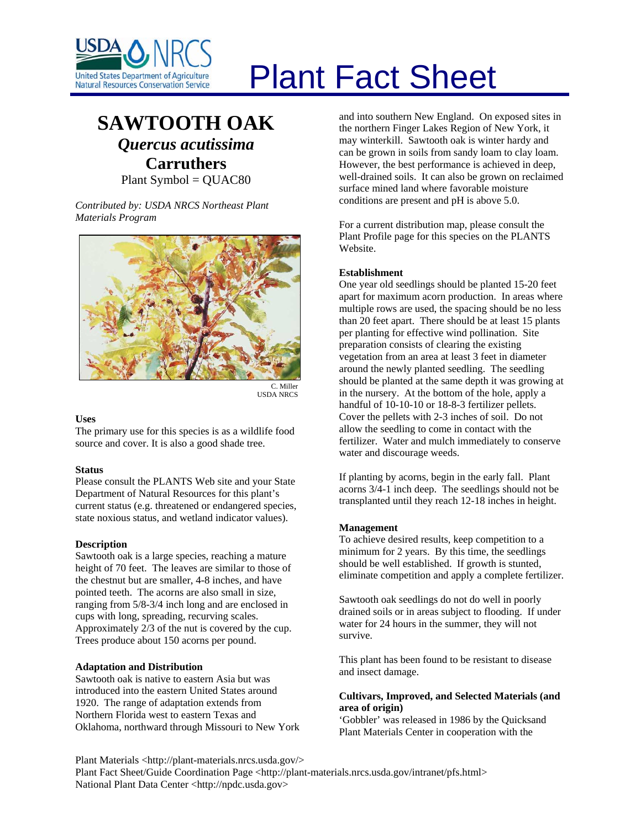

# Plant Fact Sheet

# **SAWTOOTH OAK**

*Quercus acutissima* **Carruthers**

Plant Symbol = QUAC80

*Contributed by: USDA NRCS Northeast Plant Materials Program* 



USDA NRCS

# **Uses**

The primary use for this species is as a wildlife food source and cover. It is also a good shade tree.

#### **Status**

Please consult the PLANTS Web site and your State Department of Natural Resources for this plant's current status (e.g. threatened or endangered species, state noxious status, and wetland indicator values).

#### **Description**

Sawtooth oak is a large species, reaching a mature height of 70 feet. The leaves are similar to those of the chestnut but are smaller, 4-8 inches, and have pointed teeth. The acorns are also small in size, ranging from 5/8-3/4 inch long and are enclosed in cups with long, spreading, recurving scales. Approximately 2/3 of the nut is covered by the cup. Trees produce about 150 acorns per pound.

# **Adaptation and Distribution**

Sawtooth oak is native to eastern Asia but was introduced into the eastern United States around 1920. The range of adaptation extends from Northern Florida west to eastern Texas and Oklahoma, northward through Missouri to New York and into southern New England. On exposed sites in the northern Finger Lakes Region of New York, it may winterkill. Sawtooth oak is winter hardy and can be grown in soils from sandy loam to clay loam. However, the best performance is achieved in deep, well-drained soils. It can also be grown on reclaimed surface mined land where favorable moisture conditions are present and pH is above 5.0.

For a current distribution map, please consult the Plant Profile page for this species on the PLANTS Website.

## **Establishment**

One year old seedlings should be planted 15-20 feet apart for maximum acorn production. In areas where multiple rows are used, the spacing should be no less than 20 feet apart. There should be at least 15 plants per planting for effective wind pollination. Site preparation consists of clearing the existing vegetation from an area at least 3 feet in diameter around the newly planted seedling. The seedling should be planted at the same depth it was growing at in the nursery. At the bottom of the hole, apply a handful of 10-10-10 or 18-8-3 fertilizer pellets. Cover the pellets with 2-3 inches of soil. Do not allow the seedling to come in contact with the fertilizer. Water and mulch immediately to conserve water and discourage weeds.

If planting by acorns, begin in the early fall. Plant acorns 3/4-1 inch deep. The seedlings should not be transplanted until they reach 12-18 inches in height.

#### **Management**

To achieve desired results, keep competition to a minimum for 2 years. By this time, the seedlings should be well established. If growth is stunted, eliminate competition and apply a complete fertilizer.

Sawtooth oak seedlings do not do well in poorly drained soils or in areas subject to flooding. If under water for 24 hours in the summer, they will not survive.

This plant has been found to be resistant to disease and insect damage.

# **Cultivars, Improved, and Selected Materials (and area of origin)**

'Gobbler' was released in 1986 by the Quicksand Plant Materials Center in cooperation with the

Plant Materials <http://plant-materials.nrcs.usda.gov/> Plant Fact Sheet/Guide Coordination Page <http://plant-materials.nrcs.usda.gov/intranet/pfs.html> National Plant Data Center <http://npdc.usda.gov>